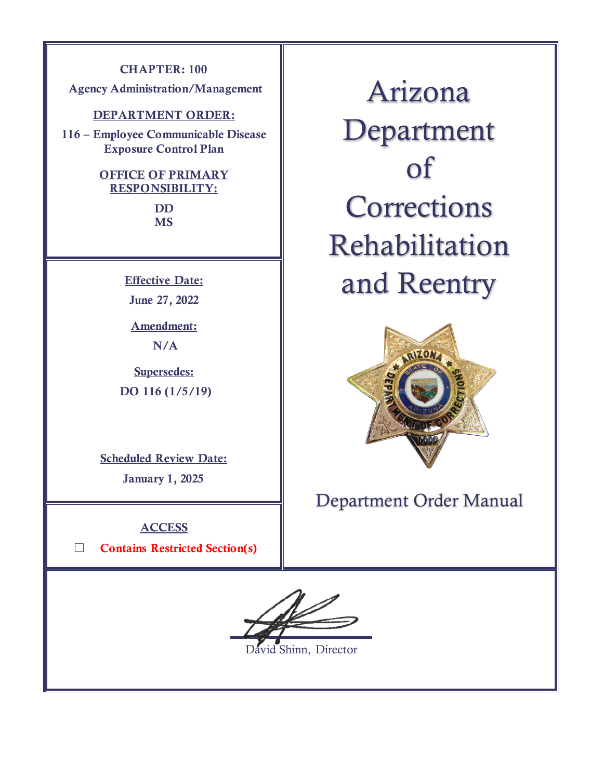### **CHAPTER: 100**

**Agency Administration/Management** 

### **DEPARTMENT ORDER:**

**116 – Employee Communicable Disease Exposure Control Plan**

### **OFFICE OF PRIMARY RESPONSIBILITY:**

**DD MS**

**Effective Date:**

**June 27, 2022**

**Amendment: N/A**

**Supersedes: DO 116 (1/5/19)**

**Scheduled Review Date:** 

**January 1, 2025**

**ACCESS**

☐ **Contains Restricted Section(s)**

Arizona Department of **Corrections** Rehabilitation and Reentry



Department Order Manual

vid Shinn, Director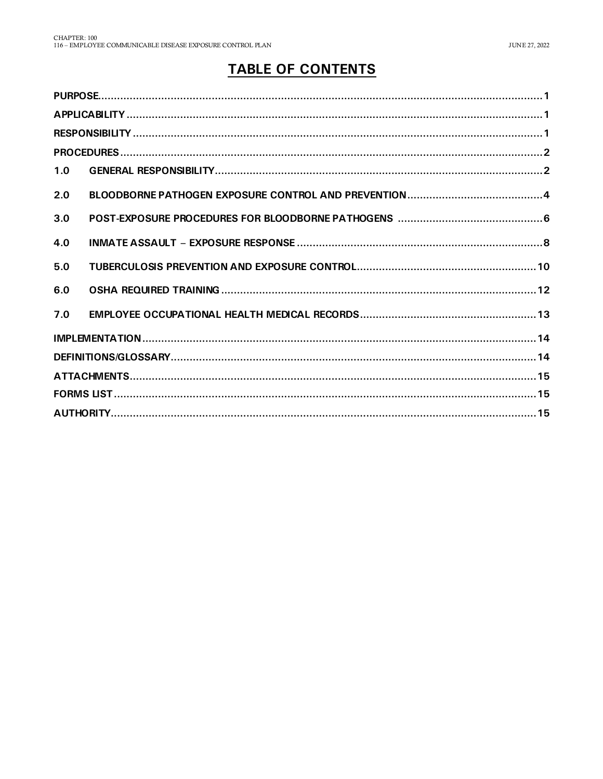# **TABLE OF CONTENTS**

| 1.0 |  |  |  |
|-----|--|--|--|
| 2.0 |  |  |  |
| 3.0 |  |  |  |
| 4.0 |  |  |  |
| 5.0 |  |  |  |
| 6.0 |  |  |  |
| 7.0 |  |  |  |
|     |  |  |  |
|     |  |  |  |
|     |  |  |  |
|     |  |  |  |
|     |  |  |  |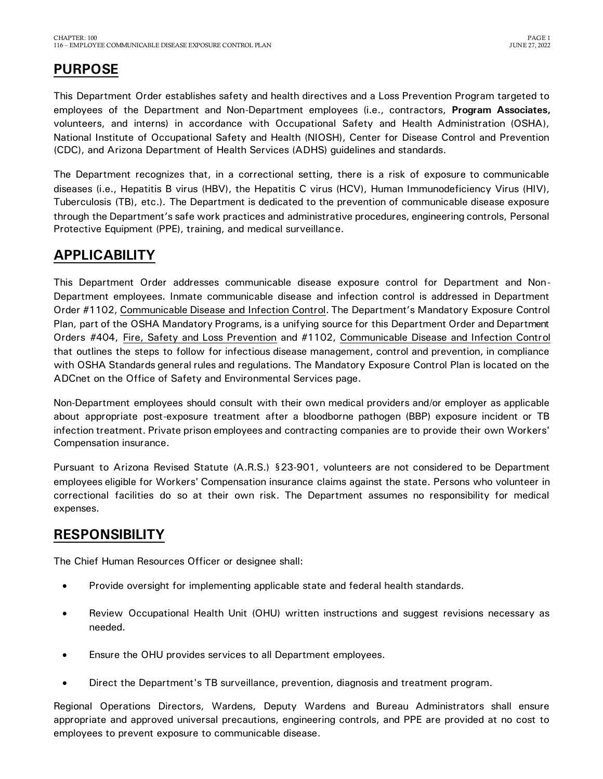# <span id="page-2-0"></span>**PURPOSE**

This Department Order establishes safety and health directives and a Loss Prevention Program targeted to employees of the Department and Non-Department employees (i.e., contractors, **Program Associates,** volunteers, and interns) in accordance with Occupational Safety and Health Administration (OSHA), National Institute of Occupational Safety and Health (NIOSH), Center for Disease Control and Prevention (CDC), and Arizona Department of Health Services (ADHS) guidelines and standards.

The Department recognizes that, in a correctional setting, there is a risk of exposure to communicable diseases (i.e., Hepatitis B virus (HBV), the Hepatitis C virus (HCV), Human Immunodeficiency Virus (HIV), Tuberculosis (TB), etc.). The Department is dedicated to the prevention of communicable disease exposure through the Department's safe work practices and administrative procedures, engineering controls, Personal Protective Equipment (PPE), training, and medical surveillance.

# <span id="page-2-1"></span>**APPLICABILITY**

This Department Order addresses communicable disease exposure control for Department and Non-Department employees. Inmate communicable disease and infection control is addressed in Department Order #1102, Communicable Disease and Infection Control. The Department's Mandatory Exposure Control Plan, part of the OSHA Mandatory Programs, is a unifying source for this Department Order and Department Orders #404, Fire, Safety and Loss Prevention and #1102, Communicable Disease and Infection Control that outlines the steps to follow for infectious disease management, control and prevention, in compliance with OSHA Standards general rules and regulations. The Mandatory Exposure Control Plan is located on the ADCnet on the Office of Safety and Environmental Services page.

Non-Department employees should consult with their own medical providers and/or employer as applicable about appropriate post-exposure treatment after a bloodborne pathogen (BBP) exposure incident or TB infection treatment. Private prison employees and contracting companies are to provide their own Workers' Compensation insurance.

Pursuant to Arizona Revised Statute (A.R.S.) §23-901, volunteers are not considered to be Department employees eligible for Workers' Compensation insurance claims against the state. Persons who volunteer in correctional facilities do so at their own risk. The Department assumes no responsibility for medical expenses.

## <span id="page-2-2"></span>**RESPONSIBILITY**

The Chief Human Resources Officer or designee shall:

- Provide oversight for implementing applicable state and federal health standards.
- Review Occupational Health Unit (OHU) written instructions and suggest revisions necessary as needed.
- Ensure the OHU provides services to all Department employees.
- Direct the Department's TB surveillance, prevention, diagnosis and treatment program.

Regional Operations Directors, Wardens, Deputy Wardens and Bureau Administrators shall ensure appropriate and approved universal precautions, engineering controls, and PPE are provided at no cost to employees to prevent exposure to communicable disease.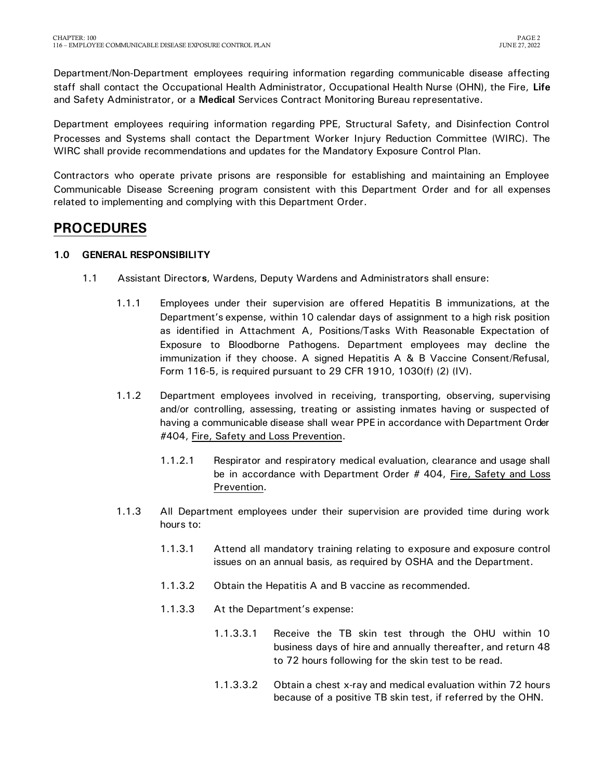Department/Non-Department employees requiring information regarding communicable disease affecting staff shall contact the Occupational Health Administrator, Occupational Health Nurse (OHN), the Fire, **Life** and Safety Administrator, or a **Medical** Services Contract Monitoring Bureau representative.

Department employees requiring information regarding PPE, Structural Safety, and Disinfection Control Processes and Systems shall contact the Department Worker Injury Reduction Committee (WIRC). The WIRC shall provide recommendations and updates for the Mandatory Exposure Control Plan.

Contractors who operate private prisons are responsible for establishing and maintaining an Employee Communicable Disease Screening program consistent with this Department Order and for all expenses related to implementing and complying with this Department Order.

## <span id="page-3-0"></span>**PROCEDURES**

### <span id="page-3-1"></span>**1.0 GENERAL RESPONSIBILITY**

- 1.1 Assistant Director**s**, Wardens, Deputy Wardens and Administrators shall ensure:
	- 1.1.1 Employees under their supervision are offered Hepatitis B immunizations, at the Department's expense, within 10 calendar days of assignment to a high risk position as identified in Attachment A, Positions/Tasks With Reasonable Expectation of Exposure to Bloodborne Pathogens. Department employees may decline the immunization if they choose. A signed Hepatitis A & B Vaccine Consent/Refusal, Form 116-5, is required pursuant to 29 CFR 1910, 1030(f) (2) (IV).
	- 1.1.2 Department employees involved in receiving, transporting, observing, supervising and/or controlling, assessing, treating or assisting inmates having or suspected of having a communicable disease shall wear PPE in accordance with Department Order #404, Fire, Safety and Loss Prevention.
		- 1.1.2.1 Respirator and respiratory medical evaluation, clearance and usage shall be in accordance with Department Order # 404, Fire, Safety and Loss Prevention.
	- 1.1.3 All Department employees under their supervision are provided time during work hours to:
		- 1.1.3.1 Attend all mandatory training relating to exposure and exposure control issues on an annual basis, as required by OSHA and the Department.
		- 1.1.3.2 Obtain the Hepatitis A and B vaccine as recommended.
		- 1.1.3.3 At the Department's expense:
			- 1.1.3.3.1 Receive the TB skin test through the OHU within 10 business days of hire and annually thereafter, and return 48 to 72 hours following for the skin test to be read.
			- 1.1.3.3.2 Obtain a chest x-ray and medical evaluation within 72 hours because of a positive TB skin test, if referred by the OHN.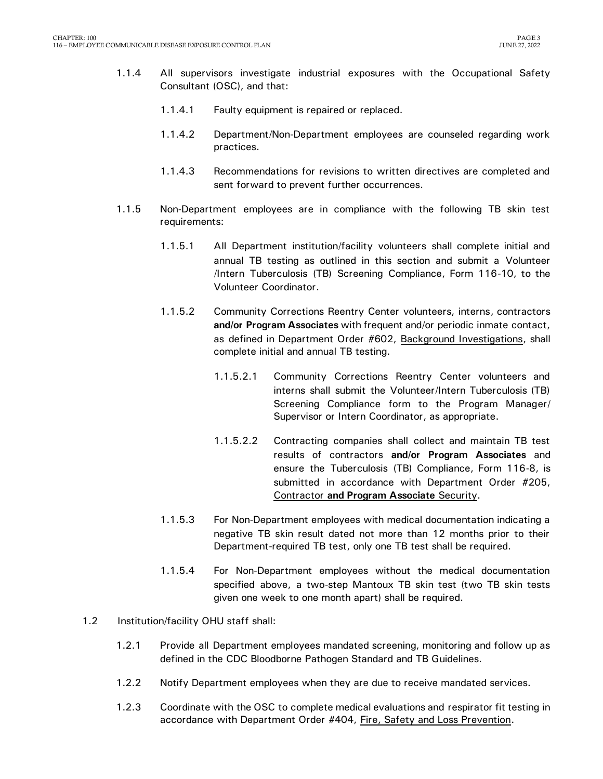- 1.1.4 All supervisors investigate industrial exposures with the Occupational Safety Consultant (OSC), and that:
	- 1.1.4.1 Faulty equipment is repaired or replaced.
	- 1.1.4.2 Department/Non-Department employees are counseled regarding work practices.
	- 1.1.4.3 Recommendations for revisions to written directives are completed and sent forward to prevent further occurrences.
- 1.1.5 Non-Department employees are in compliance with the following TB skin test requirements:
	- 1.1.5.1 All Department institution/facility volunteers shall complete initial and annual TB testing as outlined in this section and submit a Volunteer /Intern Tuberculosis (TB) Screening Compliance, Form 116-10, to the Volunteer Coordinator.
	- 1.1.5.2 Community Corrections Reentry Center volunteers, interns, contractors **and/or Program Associates** with frequent and/or periodic inmate contact, as defined in Department Order #602, Background Investigations, shall complete initial and annual TB testing.
		- 1.1.5.2.1 Community Corrections Reentry Center volunteers and interns shall submit the Volunteer/Intern Tuberculosis (TB) Screening Compliance form to the Program Manager/ Supervisor or Intern Coordinator, as appropriate.
		- 1.1.5.2.2 Contracting companies shall collect and maintain TB test results of contractors **and/or Program Associates** and ensure the Tuberculosis (TB) Compliance, Form 116-8, is submitted in accordance with Department Order #205, Contractor **and Program Associate** Security.
	- 1.1.5.3 For Non-Department employees with medical documentation indicating a negative TB skin result dated not more than 12 months prior to their Department-required TB test, only one TB test shall be required.
	- 1.1.5.4 For Non-Department employees without the medical documentation specified above, a two-step Mantoux TB skin test (two TB skin tests given one week to one month apart) shall be required.
- 1.2 Institution/facility OHU staff shall:
	- 1.2.1 Provide all Department employees mandated screening, monitoring and follow up as defined in the CDC Bloodborne Pathogen Standard and TB Guidelines.
	- 1.2.2 Notify Department employees when they are due to receive mandated services.
	- 1.2.3 Coordinate with the OSC to complete medical evaluations and respirator fit testing in accordance with Department Order #404, Fire, Safety and Loss Prevention.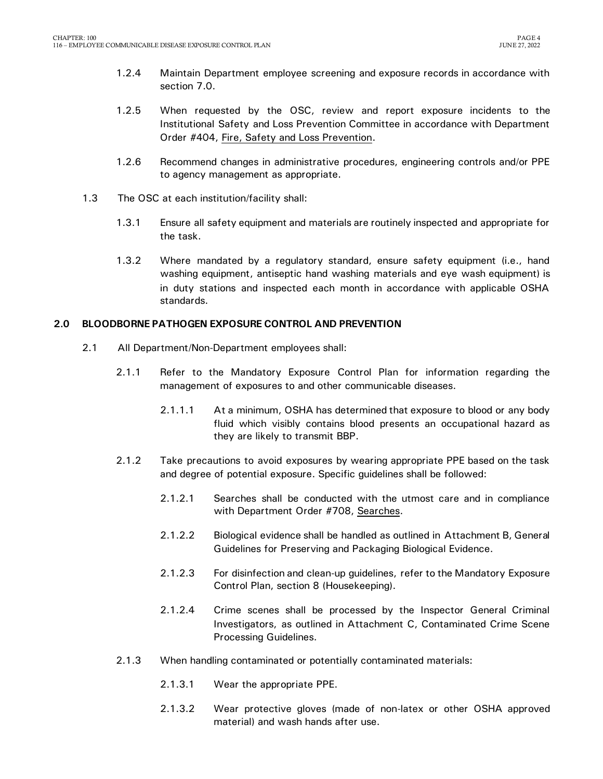- 1.2.4 Maintain Department employee screening and exposure records in accordance with section 7.0.
- 1.2.5 When requested by the OSC, review and report exposure incidents to the Institutional Safety and Loss Prevention Committee in accordance with Department Order #404, Fire, Safety and Loss Prevention.
- 1.2.6 Recommend changes in administrative procedures, engineering controls and/or PPE to agency management as appropriate.
- 1.3 The OSC at each institution/facility shall:
	- 1.3.1 Ensure all safety equipment and materials are routinely inspected and appropriate for the task.
	- 1.3.2 Where mandated by a regulatory standard, ensure safety equipment (i.e., hand washing equipment, antiseptic hand washing materials and eye wash equipment) is in duty stations and inspected each month in accordance with applicable OSHA standards.

### <span id="page-5-0"></span>**2.0 BLOODBORNE PATHOGEN EXPOSURE CONTROL AND PREVENTION**

- 2.1 All Department/Non-Department employees shall:
	- 2.1.1 Refer to the Mandatory Exposure Control Plan for information regarding the management of exposures to and other communicable diseases.
		- 2.1.1.1 At a minimum, OSHA has determined that exposure to blood or any body fluid which visibly contains blood presents an occupational hazard as they are likely to transmit BBP.
	- 2.1.2 Take precautions to avoid exposures by wearing appropriate PPE based on the task and degree of potential exposure. Specific guidelines shall be followed:
		- 2.1.2.1 Searches shall be conducted with the utmost care and in compliance with Department Order #708, Searches.
		- 2.1.2.2 Biological evidence shall be handled as outlined in Attachment B, General Guidelines for Preserving and Packaging Biological Evidence.
		- 2.1.2.3 For disinfection and clean-up guidelines, refer to the Mandatory Exposure Control Plan, section 8 (Housekeeping).
		- 2.1.2.4 Crime scenes shall be processed by the Inspector General Criminal Investigators, as outlined in Attachment C, Contaminated Crime Scene Processing Guidelines.
	- 2.1.3 When handling contaminated or potentially contaminated materials:
		- 2.1.3.1 Wear the appropriate PPE.
		- 2.1.3.2 Wear protective gloves (made of non-latex or other OSHA approved material) and wash hands after use.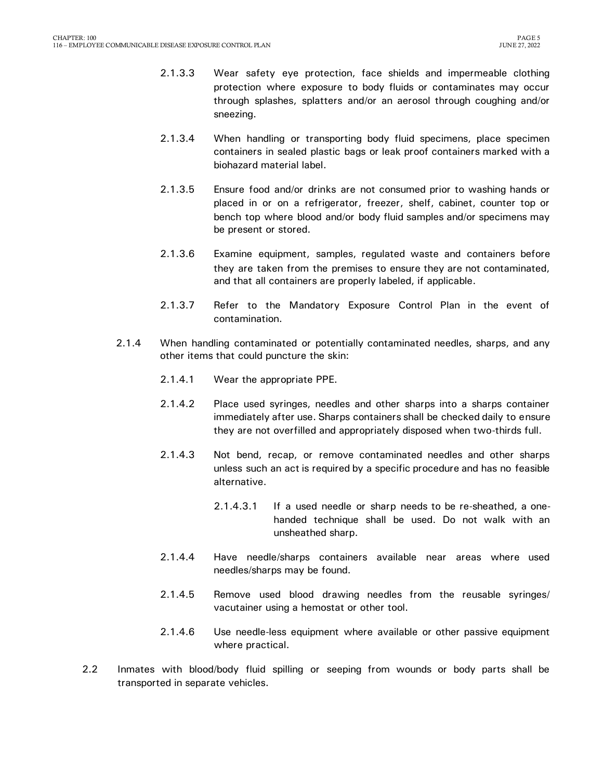- 2.1.3.3 Wear safety eye protection, face shields and impermeable clothing protection where exposure to body fluids or contaminates may occur through splashes, splatters and/or an aerosol through coughing and/or sneezing.
- 2.1.3.4 When handling or transporting body fluid specimens, place specimen containers in sealed plastic bags or leak proof containers marked with a biohazard material label.
- 2.1.3.5 Ensure food and/or drinks are not consumed prior to washing hands or placed in or on a refrigerator, freezer, shelf, cabinet, counter top or bench top where blood and/or body fluid samples and/or specimens may be present or stored.
- 2.1.3.6 Examine equipment, samples, regulated waste and containers before they are taken from the premises to ensure they are not contaminated, and that all containers are properly labeled, if applicable.
- 2.1.3.7 Refer to the Mandatory Exposure Control Plan in the event of contamination.
- 2.1.4 When handling contaminated or potentially contaminated needles, sharps, and any other items that could puncture the skin:
	- 2.1.4.1 Wear the appropriate PPE.
	- 2.1.4.2 Place used syringes, needles and other sharps into a sharps container immediately after use. Sharps containers shall be checked daily to ensure they are not overfilled and appropriately disposed when two-thirds full.
	- 2.1.4.3 Not bend, recap, or remove contaminated needles and other sharps unless such an act is required by a specific procedure and has no feasible alternative.
		- 2.1.4.3.1 If a used needle or sharp needs to be re-sheathed, a onehanded technique shall be used. Do not walk with an unsheathed sharp.
	- 2.1.4.4 Have needle/sharps containers available near areas where used needles/sharps may be found.
	- 2.1.4.5 Remove used blood drawing needles from the reusable syringes/ vacutainer using a hemostat or other tool.
	- 2.1.4.6 Use needle-less equipment where available or other passive equipment where practical.
- 2.2 Inmates with blood/body fluid spilling or seeping from wounds or body parts shall be transported in separate vehicles.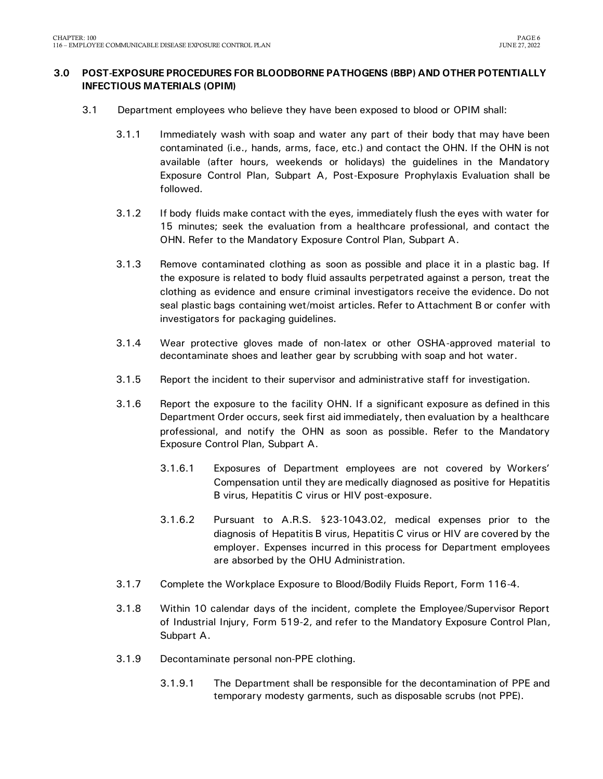### <span id="page-7-0"></span>**3.0 POST-EXPOSURE PROCEDURES FOR BLOODBORNE PATHOGENS (BBP) AND OTHER POTENTIALLY INFECTIOUS MATERIALS (OPIM)**

- 3.1 Department employees who believe they have been exposed to blood or OPIM shall:
	- 3.1.1 Immediately wash with soap and water any part of their body that may have been contaminated (i.e., hands, arms, face, etc.) and contact the OHN. If the OHN is not available (after hours, weekends or holidays) the guidelines in the Mandatory Exposure Control Plan, Subpart A, Post-Exposure Prophylaxis Evaluation shall be followed.
	- 3.1.2 If body fluids make contact with the eyes, immediately flush the eyes with water for 15 minutes; seek the evaluation from a healthcare professional, and contact the OHN. Refer to the Mandatory Exposure Control Plan, Subpart A.
	- 3.1.3 Remove contaminated clothing as soon as possible and place it in a plastic bag. If the exposure is related to body fluid assaults perpetrated against a person, treat the clothing as evidence and ensure criminal investigators receive the evidence. Do not seal plastic bags containing wet/moist articles. Refer to Attachment B or confer with investigators for packaging guidelines.
	- 3.1.4 Wear protective gloves made of non-latex or other OSHA-approved material to decontaminate shoes and leather gear by scrubbing with soap and hot water.
	- 3.1.5 Report the incident to their supervisor and administrative staff for investigation.
	- 3.1.6 Report the exposure to the facility OHN. If a significant exposure as defined in this Department Order occurs, seek first aid immediately, then evaluation by a healthcare professional, and notify the OHN as soon as possible. Refer to the Mandatory Exposure Control Plan, Subpart A.
		- 3.1.6.1 Exposures of Department employees are not covered by Workers' Compensation until they are medically diagnosed as positive for Hepatitis B virus, Hepatitis C virus or HIV post-exposure.
		- 3.1.6.2 Pursuant to A.R.S. §23-1043.02, medical expenses prior to the diagnosis of Hepatitis B virus, Hepatitis C virus or HIV are covered by the employer. Expenses incurred in this process for Department employees are absorbed by the OHU Administration.
	- 3.1.7 Complete the Workplace Exposure to Blood/Bodily Fluids Report, Form 116-4.
	- 3.1.8 Within 10 calendar days of the incident, complete the Employee/Supervisor Report of Industrial Injury, Form 519-2, and refer to the Mandatory Exposure Control Plan, Subpart A.
	- 3.1.9 Decontaminate personal non-PPE clothing.
		- 3.1.9.1 The Department shall be responsible for the decontamination of PPE and temporary modesty garments, such as disposable scrubs (not PPE).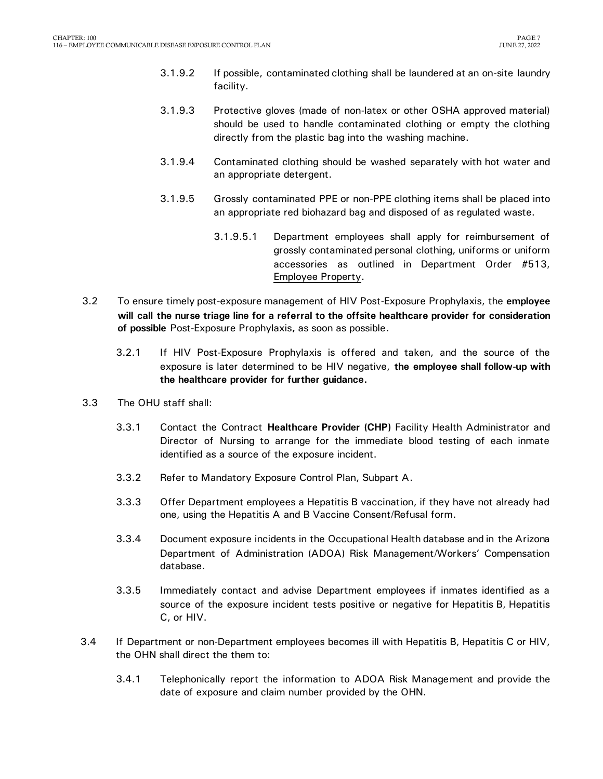- 3.1.9.2 If possible, contaminated clothing shall be laundered at an on-site laundry facility.
- 3.1.9.3 Protective gloves (made of non-latex or other OSHA approved material) should be used to handle contaminated clothing or empty the clothing directly from the plastic bag into the washing machine.
- 3.1.9.4 Contaminated clothing should be washed separately with hot water and an appropriate detergent.
- 3.1.9.5 Grossly contaminated PPE or non-PPE clothing items shall be placed into an appropriate red biohazard bag and disposed of as regulated waste.
	- 3.1.9.5.1 Department employees shall apply for reimbursement of grossly contaminated personal clothing, uniforms or uniform accessories as outlined in Department Order #513, Employee Property.
- 3.2 To ensure timely post-exposure management of HIV Post-Exposure Prophylaxis, the **employee will call the nurse triage line for a referral to the offsite healthcare provider for consideration of possible** Post-Exposure Prophylaxis**,** as soon as possible**.**
	- 3.2.1 If HIV Post-Exposure Prophylaxis is offered and taken, and the source of the exposure is later determined to be HIV negative, **the employee shall follow-up with the healthcare provider for further guidance.**
- 3.3 The OHU staff shall:
	- 3.3.1 Contact the Contract **Healthcare Provider (CHP)** Facility Health Administrator and Director of Nursing to arrange for the immediate blood testing of each inmate identified as a source of the exposure incident.
	- 3.3.2 Refer to Mandatory Exposure Control Plan, Subpart A.
	- 3.3.3 Offer Department employees a Hepatitis B vaccination, if they have not already had one, using the Hepatitis A and B Vaccine Consent/Refusal form.
	- 3.3.4 Document exposure incidents in the Occupational Health database and in the Arizona Department of Administration (ADOA) Risk Management/Workers' Compensation database.
	- 3.3.5 Immediately contact and advise Department employees if inmates identified as a source of the exposure incident tests positive or negative for Hepatitis B, Hepatitis C, or HIV.
- 3.4 If Department or non-Department employees becomes ill with Hepatitis B, Hepatitis C or HIV, the OHN shall direct the them to:
	- 3.4.1 Telephonically report the information to ADOA Risk Management and provide the date of exposure and claim number provided by the OHN.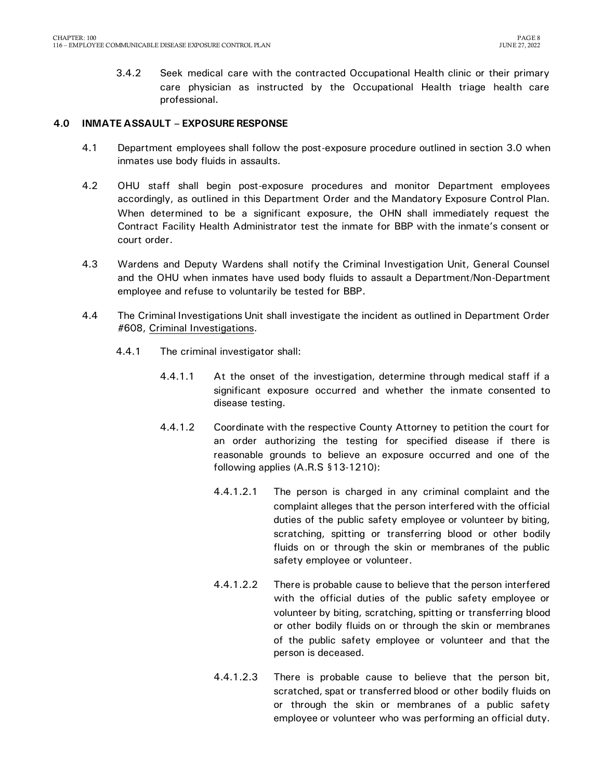3.4.2 Seek medical care with the contracted Occupational Health clinic or their primary care physician as instructed by the Occupational Health triage health care professional.

### <span id="page-9-0"></span>**4.0 INMATE ASSAULT – EXPOSURE RESPONSE**

- 4.1 Department employees shall follow the post-exposure procedure outlined in section 3.0 when inmates use body fluids in assaults.
- 4.2 OHU staff shall begin post-exposure procedures and monitor Department employees accordingly, as outlined in this Department Order and the Mandatory Exposure Control Plan. When determined to be a significant exposure, the OHN shall immediately request the Contract Facility Health Administrator test the inmate for BBP with the inmate's consent or court order.
- 4.3 Wardens and Deputy Wardens shall notify the Criminal Investigation Unit, General Counsel and the OHU when inmates have used body fluids to assault a Department/Non-Department employee and refuse to voluntarily be tested for BBP.
- 4.4 The Criminal Investigations Unit shall investigate the incident as outlined in Department Order #608, Criminal Investigations.
	- 4.4.1 The criminal investigator shall:
		- 4.4.1.1 At the onset of the investigation, determine through medical staff if a significant exposure occurred and whether the inmate consented to disease testing.
		- 4.4.1.2 Coordinate with the respective County Attorney to petition the court for an order authorizing the testing for specified disease if there is reasonable grounds to believe an exposure occurred and one of the following applies (A.R.S §13-1210):
			- 4.4.1.2.1 The person is charged in any criminal complaint and the complaint alleges that the person interfered with the official duties of the public safety employee or volunteer by biting, scratching, spitting or transferring blood or other bodily fluids on or through the skin or membranes of the public safety employee or volunteer.
			- 4.4.1.2.2 There is probable cause to believe that the person interfered with the official duties of the public safety employee or volunteer by biting, scratching, spitting or transferring blood or other bodily fluids on or through the skin or membranes of the public safety employee or volunteer and that the person is deceased.
			- 4.4.1.2.3 There is probable cause to believe that the person bit, scratched, spat or transferred blood or other bodily fluids on or through the skin or membranes of a public safety employee or volunteer who was performing an official duty.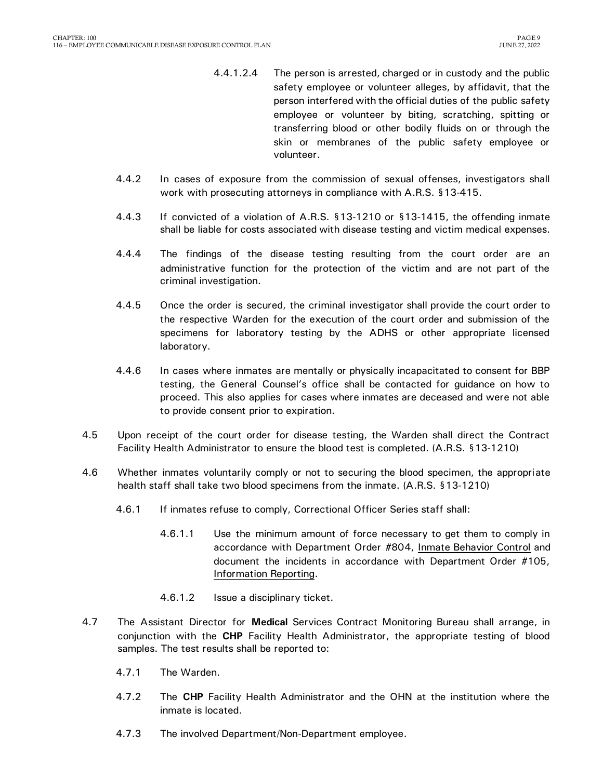- 4.4.1.2.4 The person is arrested, charged or in custody and the public safety employee or volunteer alleges, by affidavit, that the person interfered with the official duties of the public safety employee or volunteer by biting, scratching, spitting or transferring blood or other bodily fluids on or through the skin or membranes of the public safety employee or volunteer.
- 4.4.2 In cases of exposure from the commission of sexual offenses, investigators shall work with prosecuting attorneys in compliance with A.R.S. §13-415.
- 4.4.3 If convicted of a violation of A.R.S. §13-1210 or §13-1415, the offending inmate shall be liable for costs associated with disease testing and victim medical expenses.
- 4.4.4 The findings of the disease testing resulting from the court order are an administrative function for the protection of the victim and are not part of the criminal investigation.
- 4.4.5 Once the order is secured, the criminal investigator shall provide the court order to the respective Warden for the execution of the court order and submission of the specimens for laboratory testing by the ADHS or other appropriate licensed laboratory.
- 4.4.6 In cases where inmates are mentally or physically incapacitated to consent for BBP testing, the General Counsel's office shall be contacted for guidance on how to proceed. This also applies for cases where inmates are deceased and were not able to provide consent prior to expiration.
- 4.5 Upon receipt of the court order for disease testing, the Warden shall direct the Contract Facility Health Administrator to ensure the blood test is completed. (A.R.S. §13-1210)
- 4.6 Whether inmates voluntarily comply or not to securing the blood specimen, the appropriate health staff shall take two blood specimens from the inmate. (A.R.S. §13-1210)
	- 4.6.1 If inmates refuse to comply, Correctional Officer Series staff shall:
		- 4.6.1.1 Use the minimum amount of force necessary to get them to comply in accordance with Department Order #804, Inmate Behavior Control and document the incidents in accordance with Department Order #105, Information Reporting.
		- 4.6.1.2 Issue a disciplinary ticket.
- 4.7 The Assistant Director for **Medical** Services Contract Monitoring Bureau shall arrange, in conjunction with the **CHP** Facility Health Administrator, the appropriate testing of blood samples. The test results shall be reported to:
	- 4.7.1 The Warden.
	- 4.7.2 The **CHP** Facility Health Administrator and the OHN at the institution where the inmate is located.
	- 4.7.3 The involved Department/Non-Department employee.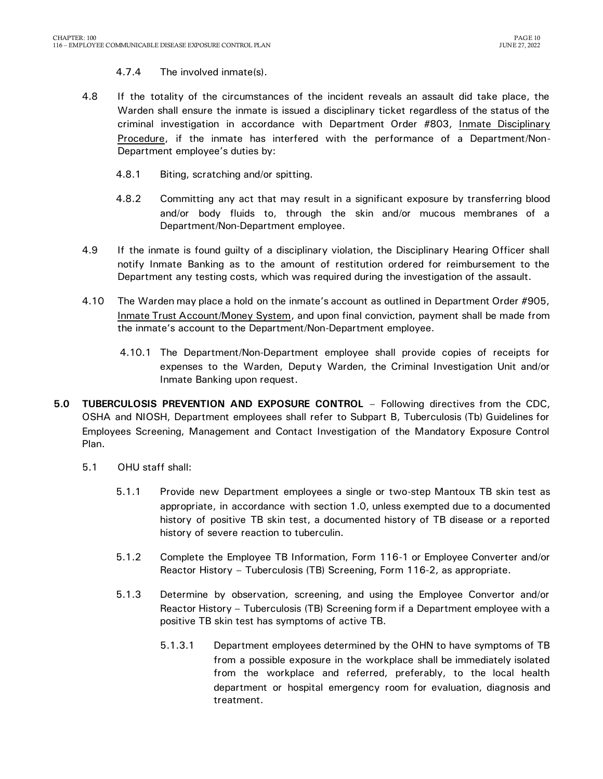### 4.7.4 The involved inmate(s).

- 4.8 If the totality of the circumstances of the incident reveals an assault did take place, the Warden shall ensure the inmate is issued a disciplinary ticket regardless of the status of the criminal investigation in accordance with Department Order #803, Inmate Disciplinary Procedure, if the inmate has interfered with the performance of a Department/Non-Department employee's duties by:
	- 4.8.1 Biting, scratching and/or spitting.
	- 4.8.2 Committing any act that may result in a significant exposure by transferring blood and/or body fluids to, through the skin and/or mucous membranes of a Department/Non-Department employee.
- 4.9 If the inmate is found guilty of a disciplinary violation, the Disciplinary Hearing Officer shall notify Inmate Banking as to the amount of restitution ordered for reimbursement to the Department any testing costs, which was required during the investigation of the assault.
- 4.10 The Warden may place a hold on the inmate's account as outlined in Department Order #905, Inmate Trust Account/Money System, and upon final conviction, payment shall be made from the inmate's account to the Department/Non-Department employee.
	- 4.10.1 The Department/Non-Department employee shall provide copies of receipts for expenses to the Warden, Deputy Warden, the Criminal Investigation Unit and/or Inmate Banking upon request.
- <span id="page-11-0"></span>**5.0 TUBERCULOSIS PREVENTION AND EXPOSURE CONTROL** – Following directives from the CDC, OSHA and NIOSH, Department employees shall refer to Subpart B, Tuberculosis (Tb) Guidelines for Employees Screening, Management and Contact Investigation of the Mandatory Exposure Control Plan.
	- 5.1 OHU staff shall:
		- 5.1.1 Provide new Department employees a single or two-step Mantoux TB skin test as appropriate, in accordance with section 1.0, unless exempted due to a documented history of positive TB skin test, a documented history of TB disease or a reported history of severe reaction to tuberculin.
		- 5.1.2 Complete the Employee TB Information, Form 116-1 or Employee Converter and/or Reactor History – Tuberculosis (TB) Screening, Form 116-2, as appropriate.
		- 5.1.3 Determine by observation, screening, and using the Employee Convertor and/or Reactor History – Tuberculosis (TB) Screening form if a Department employee with a positive TB skin test has symptoms of active TB.
			- 5.1.3.1 Department employees determined by the OHN to have symptoms of TB from a possible exposure in the workplace shall be immediately isolated from the workplace and referred, preferably, to the local health department or hospital emergency room for evaluation, diagnosis and treatment.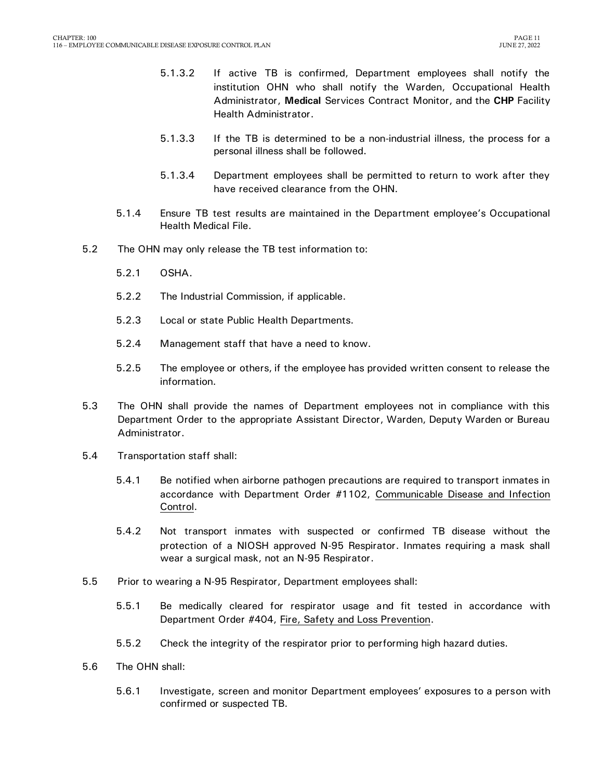- 5.1.3.2 If active TB is confirmed, Department employees shall notify the institution OHN who shall notify the Warden, Occupational Health Administrator, **Medical** Services Contract Monitor, and the **CHP** Facility Health Administrator.
- 5.1.3.3 If the TB is determined to be a non-industrial illness, the process for a personal illness shall be followed.
- 5.1.3.4 Department employees shall be permitted to return to work after they have received clearance from the OHN.
- 5.1.4 Ensure TB test results are maintained in the Department employee's Occupational Health Medical File.
- 5.2 The OHN may only release the TB test information to:
	- 5.2.1 OSHA.
	- 5.2.2 The Industrial Commission, if applicable.
	- 5.2.3 Local or state Public Health Departments.
	- 5.2.4 Management staff that have a need to know.
	- 5.2.5 The employee or others, if the employee has provided written consent to release the information.
- 5.3 The OHN shall provide the names of Department employees not in compliance with this Department Order to the appropriate Assistant Director, Warden, Deputy Warden or Bureau Administrator.
- 5.4 Transportation staff shall:
	- 5.4.1 Be notified when airborne pathogen precautions are required to transport inmates in accordance with Department Order #1102, Communicable Disease and Infection Control.
	- 5.4.2 Not transport inmates with suspected or confirmed TB disease without the protection of a NIOSH approved N-95 Respirator. Inmates requiring a mask shall wear a surgical mask, not an N-95 Respirator.
- 5.5 Prior to wearing a N-95 Respirator, Department employees shall:
	- 5.5.1 Be medically cleared for respirator usage and fit tested in accordance with Department Order #404, Fire, Safety and Loss Prevention.
	- 5.5.2 Check the integrity of the respirator prior to performing high hazard duties.
- 5.6 The OHN shall:
	- 5.6.1 Investigate, screen and monitor Department employees' exposures to a person with confirmed or suspected TB.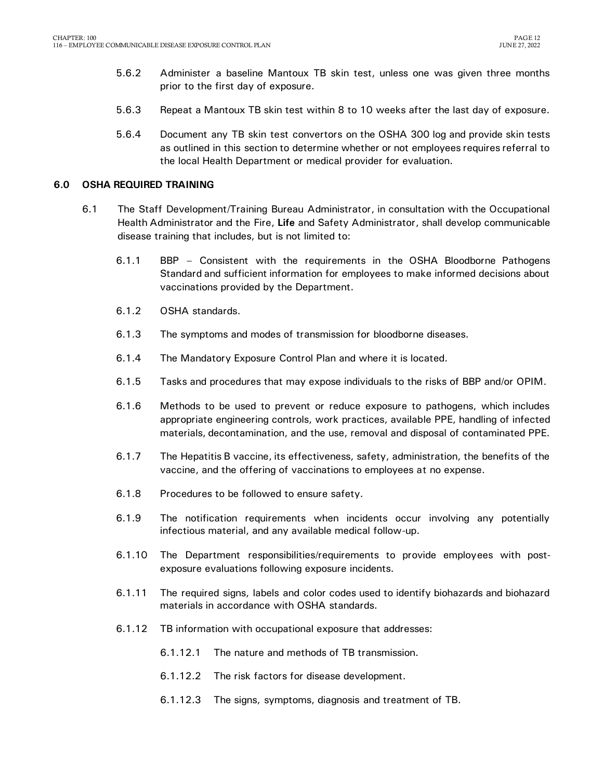- 5.6.2 Administer a baseline Mantoux TB skin test, unless one was given three months prior to the first day of exposure.
- 5.6.3 Repeat a Mantoux TB skin test within 8 to 10 weeks after the last day of exposure.
- 5.6.4 Document any TB skin test convertors on the OSHA 300 log and provide skin tests as outlined in this section to determine whether or not employees requires referral to the local Health Department or medical provider for evaluation.

### <span id="page-13-0"></span>**6.0 OSHA REQUIRED TRAINING**

- 6.1 The Staff Development/Training Bureau Administrator, in consultation with the Occupational Health Administrator and the Fire, **Life** and Safety Administrator, shall develop communicable disease training that includes, but is not limited to:
	- 6.1.1 BBP Consistent with the requirements in the OSHA Bloodborne Pathogens Standard and sufficient information for employees to make informed decisions about vaccinations provided by the Department.
	- 6.1.2 OSHA standards.
	- 6.1.3 The symptoms and modes of transmission for bloodborne diseases.
	- 6.1.4 The Mandatory Exposure Control Plan and where it is located.
	- 6.1.5 Tasks and procedures that may expose individuals to the risks of BBP and/or OPIM.
	- 6.1.6 Methods to be used to prevent or reduce exposure to pathogens, which includes appropriate engineering controls, work practices, available PPE, handling of infected materials, decontamination, and the use, removal and disposal of contaminated PPE.
	- 6.1.7 The Hepatitis B vaccine, its effectiveness, safety, administration, the benefits of the vaccine, and the offering of vaccinations to employees at no expense.
	- 6.1.8 Procedures to be followed to ensure safety.
	- 6.1.9 The notification requirements when incidents occur involving any potentially infectious material, and any available medical follow-up.
	- 6.1.10 The Department responsibilities/requirements to provide employees with postexposure evaluations following exposure incidents.
	- 6.1.11 The required signs, labels and color codes used to identify biohazards and biohazard materials in accordance with OSHA standards.
	- 6.1.12 TB information with occupational exposure that addresses:
		- 6.1.12.1 The nature and methods of TB transmission.
		- 6.1.12.2 The risk factors for disease development.
		- 6.1.12.3 The signs, symptoms, diagnosis and treatment of TB.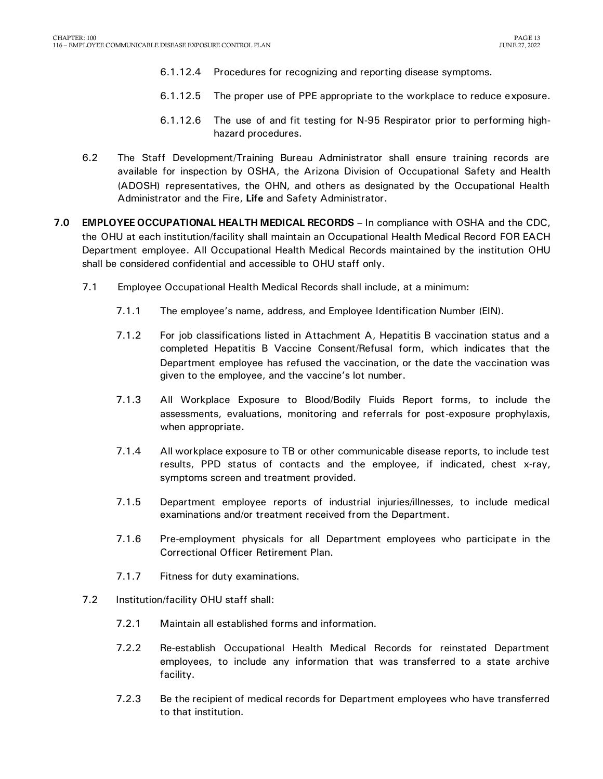- 6.1.12.4 Procedures for recognizing and reporting disease symptoms.
- 6.1.12.5 The proper use of PPE appropriate to the workplace to reduce exposure.
- 6.1.12.6 The use of and fit testing for N-95 Respirator prior to performing highhazard procedures.
- 6.2 The Staff Development/Training Bureau Administrator shall ensure training records are available for inspection by OSHA, the Arizona Division of Occupational Safety and Health (ADOSH) representatives, the OHN, and others as designated by the Occupational Health Administrator and the Fire, **Life** and Safety Administrator.
- <span id="page-14-0"></span>**7.0 EMPLOYEE OCCUPATIONAL HEALTH MEDICAL RECORDS –** In compliance with OSHA and the CDC, the OHU at each institution/facility shall maintain an Occupational Health Medical Record FOR EACH Department employee. All Occupational Health Medical Records maintained by the institution OHU shall be considered confidential and accessible to OHU staff only.
	- 7.1 Employee Occupational Health Medical Records shall include, at a minimum:
		- 7.1.1 The employee's name, address, and Employee Identification Number (EIN).
		- 7.1.2 For job classifications listed in Attachment A, Hepatitis B vaccination status and a completed Hepatitis B Vaccine Consent/Refusal form, which indicates that the Department employee has refused the vaccination, or the date the vaccination was given to the employee, and the vaccine's lot number.
		- 7.1.3 All Workplace Exposure to Blood/Bodily Fluids Report forms, to include the assessments, evaluations, monitoring and referrals for post-exposure prophylaxis, when appropriate.
		- 7.1.4 All workplace exposure to TB or other communicable disease reports, to include test results, PPD status of contacts and the employee, if indicated, chest x-ray, symptoms screen and treatment provided.
		- 7.1.5 Department employee reports of industrial injuries/illnesses, to include medical examinations and/or treatment received from the Department.
		- 7.1.6 Pre-employment physicals for all Department employees who participate in the Correctional Officer Retirement Plan.
		- 7.1.7 Fitness for duty examinations.
	- 7.2 Institution/facility OHU staff shall:
		- 7.2.1 Maintain all established forms and information.
		- 7.2.2 Re-establish Occupational Health Medical Records for reinstated Department employees, to include any information that was transferred to a state archive facility.
		- 7.2.3 Be the recipient of medical records for Department employees who have transferred to that institution.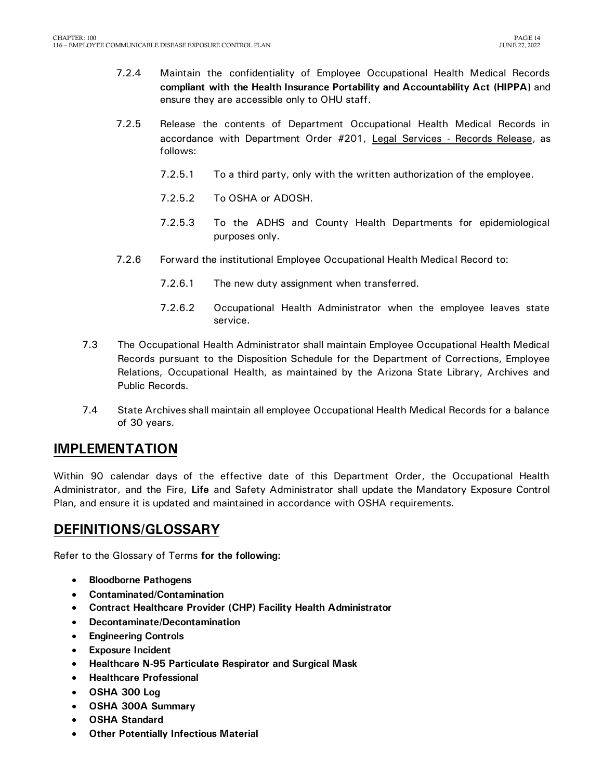- 7.2.4 Maintain the confidentiality of Employee Occupational Health Medical Records **compliant with the Health Insurance Portability and Accountability Act (HIPPA)** and ensure they are accessible only to OHU staff.
- 7.2.5 Release the contents of Department Occupational Health Medical Records in accordance with Department Order #201, Legal Services - Records Release, as follows:
	- 7.2.5.1 To a third party, only with the written authorization of the employee.
	- 7.2.5.2 To OSHA or ADOSH.
	- 7.2.5.3 To the ADHS and County Health Departments for epidemiological purposes only.
- 7.2.6 Forward the institutional Employee Occupational Health Medical Record to:
	- 7.2.6.1 The new duty assignment when transferred.
	- 7.2.6.2 Occupational Health Administrator when the employee leaves state service.
- 7.3 The Occupational Health Administrator shall maintain Employee Occupational Health Medical Records pursuant to the Disposition Schedule for the Department of Corrections, Employee Relations, Occupational Health, as maintained by the Arizona State Library, Archives and Public Records.
- 7.4 State Archives shall maintain all employee Occupational Health Medical Records for a balance of 30 years.

### <span id="page-15-0"></span>**IMPLEMENTATION**

Within 90 calendar days of the effective date of this Department Order, the Occupational Health Administrator, and the Fire, **Life** and Safety Administrator shall update the Mandatory Exposure Control Plan, and ensure it is updated and maintained in accordance with OSHA requirements.

## <span id="page-15-1"></span>**DEFINITIONS/GLOSSARY**

Refer to the Glossary of Terms **for the following:**

- **Bloodborne Pathogens**
- **Contaminated/Contamination**
- **Contract Healthcare Provider (CHP) Facility Health Administrator**
- **Decontaminate/Decontamination**
- **Engineering Controls**
- **Exposure Incident**
- **Healthcare N-95 Particulate Respirator and Surgical Mask**
- **Healthcare Professional**
- **OSHA 300 Log**
- **OSHA 300A Summary**
- **OSHA Standard**
- **Other Potentially Infectious Material**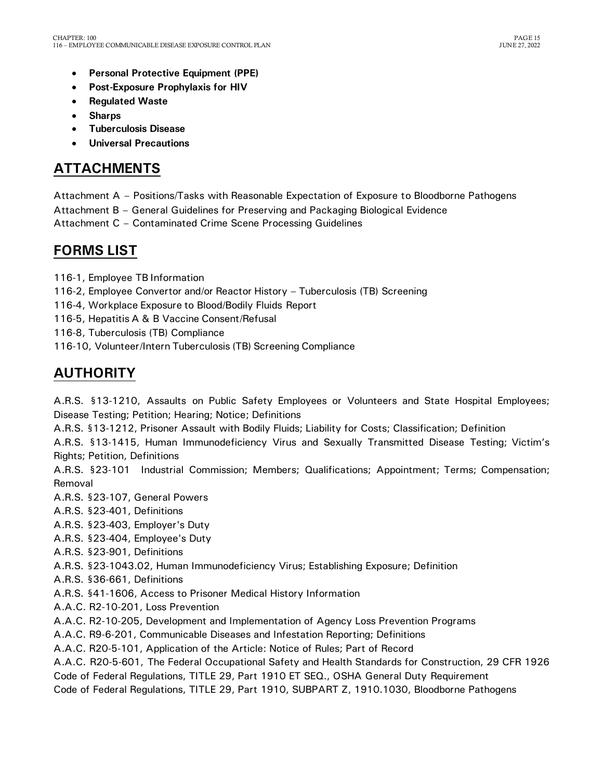- **Personal Protective Equipment (PPE)**
- **Post-Exposure Prophylaxis for HIV**
- **Regulated Waste**
- **Sharps**
- **Tuberculosis Disease**
- **Universal Precautions**

## <span id="page-16-0"></span>**ATTACHMENTS**

Attachment A – Positions/Tasks with Reasonable Expectation of Exposure to Bloodborne Pathogens Attachment B – General Guidelines for Preserving and Packaging Biological Evidence Attachment C – Contaminated Crime Scene Processing Guidelines

## <span id="page-16-1"></span>**FORMS LIST**

116-1, Employee TB Information

116-2, Employee Convertor and/or Reactor History – Tuberculosis (TB) Screening

116-4, Workplace Exposure to Blood/Bodily Fluids Report

116-5, Hepatitis A & B Vaccine Consent/Refusal

116-8, Tuberculosis (TB) Compliance

116-10, Volunteer/Intern Tuberculosis (TB) Screening Compliance

# <span id="page-16-2"></span>**AUTHORITY**

A.R.S. §13-1210, Assaults on Public Safety Employees or Volunteers and State Hospital Employees; Disease Testing; Petition; Hearing; Notice; Definitions

A.R.S. §13-1212, Prisoner Assault with Bodily Fluids; Liability for Costs; Classification; Definition

A.R.S. §13-1415, Human Immunodeficiency Virus and Sexually Transmitted Disease Testing; Victim's Rights; Petition, Definitions

A.R.S. §23-101 Industrial Commission; Members; Qualifications; Appointment; Terms; Compensation; Removal

A.R.S. §23-107, General Powers

A.R.S. §23-401, Definitions

A.R.S. §23-403, Employer's Duty

A.R.S. §23-404, Employee's Duty

A.R.S. §23-901, Definitions

A.R.S. §23-1043.02, Human Immunodeficiency Virus; Establishing Exposure; Definition

A.R.S. §36-661, Definitions

A.R.S. §41-1606, Access to Prisoner Medical History Information

A.A.C. R2-10-201, Loss Prevention

A.A.C. R2-10-205, Development and Implementation of Agency Loss Prevention Programs

A.A.C. R9-6-201, Communicable Diseases and Infestation Reporting; Definitions

A.A.C. R20-5-101, Application of the Article: Notice of Rules; Part of Record

A.A.C. R20-5-601, The Federal Occupational Safety and Health Standards for Construction, 29 CFR 1926

Code of Federal Regulations, TITLE 29, Part 1910 ET SEQ., OSHA General Duty Requirement

Code of Federal Regulations, TITLE 29, Part 1910, SUBPART Z, 1910.1030, Bloodborne Pathogens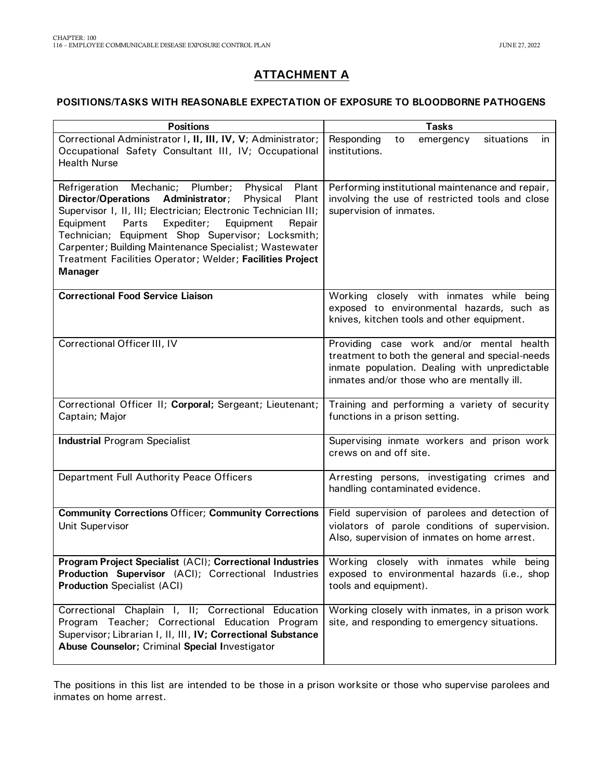## **ATTACHMENT A**

### **POSITIONS/TASKS WITH REASONABLE EXPECTATION OF EXPOSURE TO BLOODBORNE PATHOGENS**

| <b>Positions</b>                                                                                                                                                                                                                                                                                                                                                                                                                                      | <b>Tasks</b>                                                                                                                                                                               |
|-------------------------------------------------------------------------------------------------------------------------------------------------------------------------------------------------------------------------------------------------------------------------------------------------------------------------------------------------------------------------------------------------------------------------------------------------------|--------------------------------------------------------------------------------------------------------------------------------------------------------------------------------------------|
| Correctional Administrator I, II, III, IV, V; Administrator;<br>Occupational Safety Consultant III, IV; Occupational<br><b>Health Nurse</b>                                                                                                                                                                                                                                                                                                           | Responding<br>situations<br>to<br>emergency<br>in.<br>institutions.                                                                                                                        |
| Plant<br>Refrigeration Mechanic; Plumber;<br>Physical<br>Plant<br><b>Director/Operations</b><br>Administrator;<br>Physical<br>Supervisor I, II, III; Electrician; Electronic Technician III;<br>Expediter;<br>Equipment<br>Equipment<br>Parts<br>Repair<br>Technician; Equipment Shop Supervisor; Locksmith;<br>Carpenter; Building Maintenance Specialist; Wastewater<br>Treatment Facilities Operator; Welder; Facilities Project<br><b>Manager</b> | Performing institutional maintenance and repair,<br>involving the use of restricted tools and close<br>supervision of inmates.                                                             |
| <b>Correctional Food Service Liaison</b>                                                                                                                                                                                                                                                                                                                                                                                                              | Working closely with inmates while being<br>exposed to environmental hazards, such as<br>knives, kitchen tools and other equipment.                                                        |
| Correctional Officer III, IV                                                                                                                                                                                                                                                                                                                                                                                                                          | Providing case work and/or mental health<br>treatment to both the general and special-needs<br>inmate population. Dealing with unpredictable<br>inmates and/or those who are mentally ill. |
| Correctional Officer II; Corporal; Sergeant; Lieutenant;<br>Captain; Major                                                                                                                                                                                                                                                                                                                                                                            | Training and performing a variety of security<br>functions in a prison setting.                                                                                                            |
| <b>Industrial Program Specialist</b>                                                                                                                                                                                                                                                                                                                                                                                                                  | Supervising inmate workers and prison work<br>crews on and off site.                                                                                                                       |
| Department Full Authority Peace Officers                                                                                                                                                                                                                                                                                                                                                                                                              | Arresting persons, investigating crimes and<br>handling contaminated evidence.                                                                                                             |
| <b>Community Corrections Officer; Community Corrections</b><br>Unit Supervisor                                                                                                                                                                                                                                                                                                                                                                        | Field supervision of parolees and detection of<br>violators of parole conditions of supervision.<br>Also, supervision of inmates on home arrest.                                           |
| Program Project Specialist (ACI); Correctional Industries<br>Production Supervisor (ACI); Correctional Industries<br><b>Production Specialist (ACI)</b>                                                                                                                                                                                                                                                                                               | Working closely with inmates while being<br>exposed to environmental hazards (i.e., shop<br>tools and equipment).                                                                          |
| Correctional Chaplain I, II; Correctional Education<br>Program Teacher; Correctional Education Program<br>Supervisor; Librarian I, II, III, IV; Correctional Substance<br>Abuse Counselor; Criminal Special Investigator                                                                                                                                                                                                                              | Working closely with inmates, in a prison work<br>site, and responding to emergency situations.                                                                                            |

The positions in this list are intended to be those in a prison worksite or those who supervise parolees and inmates on home arrest.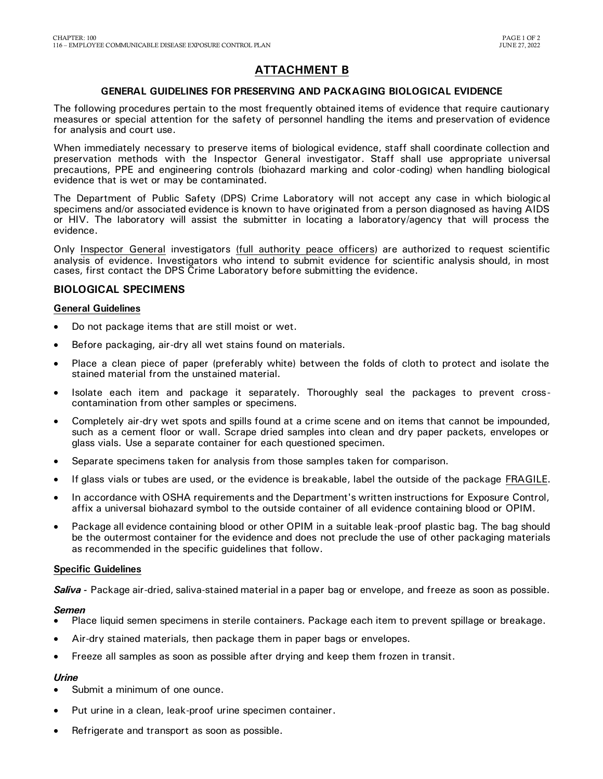### **ATTACHMENT B**

### **GENERAL GUIDELINES FOR PRESERVING AND PACKAGING BIOLOGICAL EVIDENCE**

The following procedures pertain to the most frequently obtained items of evidence that require cautionary measures or special attention for the safety of personnel handling the items and preservation of evidence for analysis and court use.

When immediately necessary to preserve items of biological evidence, staff shall coordinate collection and preservation methods with the Inspector General investigator. Staff shall use appropriate universal precautions, PPE and engineering controls (biohazard marking and color-coding) when handling biological evidence that is wet or may be contaminated.

The Department of Public Safety (DPS) Crime Laboratory will not accept any case in which biological specimens and/or associated evidence is known to have originated from a person diagnosed as having AIDS or HIV. The laboratory will assist the submitter in locating a laboratory/agency that will process the evidence.

Only Inspector General investigators (full authority peace officers) are authorized to request scientific analysis of evidence. Investigators who intend to submit evidence for scientific analysis should, in most cases, first contact the DPS Crime Laboratory before submitting the evidence.

### **BIOLOGICAL SPECIMENS**

### **General Guidelines**

- Do not package items that are still moist or wet.
- Before packaging, air-dry all wet stains found on materials.
- Place a clean piece of paper (preferably white) between the folds of cloth to protect and isolate the stained material from the unstained material.
- Isolate each item and package it separately. Thoroughly seal the packages to prevent crosscontamination from other samples or specimens.
- Completely air-dry wet spots and spills found at a crime scene and on items that cannot be impounded, such as a cement floor or wall. Scrape dried samples into clean and dry paper packets, envelopes or glass vials. Use a separate container for each questioned specimen.
- Separate specimens taken for analysis from those samples taken for comparison.
- If glass vials or tubes are used, or the evidence is breakable, label the outside of the package FRAGILE.
- In accordance with OSHA requirements and the Department's written instructions for Exposure Control, affix a universal biohazard symbol to the outside container of all evidence containing blood or OPIM.
- Package all evidence containing blood or other OPIM in a suitable leak-proof plastic bag. The bag should be the outermost container for the evidence and does not preclude the use of other packaging materials as recommended in the specific guidelines that follow.

### **Specific Guidelines**

*Saliva -* Package air-dried, saliva-stained material in a paper bag or envelope, and freeze as soon as possible.

### *Semen*

- Place liquid semen specimens in sterile containers. Package each item to prevent spillage or breakage.
- Air-dry stained materials, then package them in paper bags or envelopes.
- Freeze all samples as soon as possible after drying and keep them frozen in transit.

### *Urine*

- Submit a minimum of one ounce.
- Put urine in a clean, leak-proof urine specimen container.
- Refrigerate and transport as soon as possible.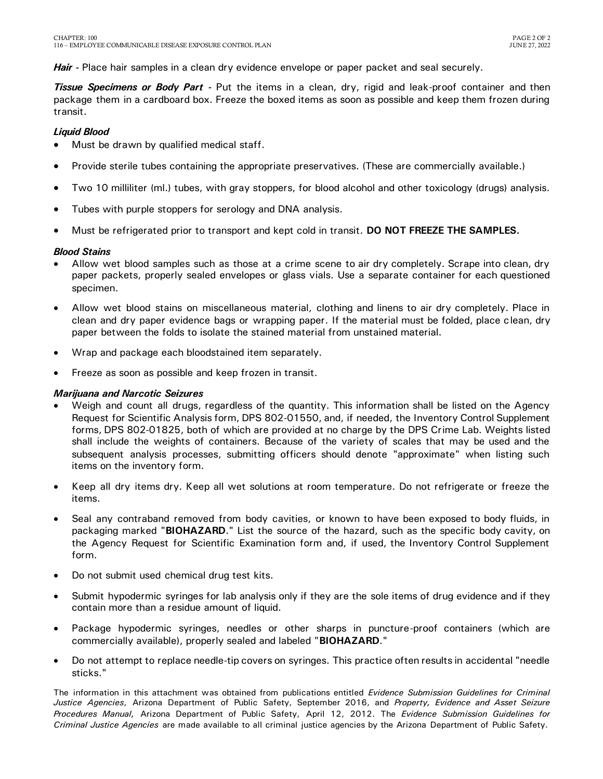*Hair -* Place hair samples in a clean dry evidence envelope or paper packet and seal securely.

*Tissue Specimens or Body Part -* Put the items in a clean, dry, rigid and leak-proof container and then package them in a cardboard box. Freeze the boxed items as soon as possible and keep them frozen during transit.

### *Liquid Blood*

- Must be drawn by qualified medical staff.
- Provide sterile tubes containing the appropriate preservatives. (These are commercially available.)
- Two 10 milliliter (ml.) tubes, with gray stoppers, for blood alcohol and other toxicology (drugs) analysis.
- Tubes with purple stoppers for serology and DNA analysis.
- Must be refrigerated prior to transport and kept cold in transit. **DO NOT FREEZE THE SAMPLES.**

### *Blood Stains*

- Allow wet blood samples such as those at a crime scene to air dry completely. Scrape into clean, dry paper packets, properly sealed envelopes or glass vials. Use a separate container for each questioned specimen.
- Allow wet blood stains on miscellaneous material, clothing and linens to air dry completely. Place in clean and dry paper evidence bags or wrapping paper. If the material must be folded, place clean, dry paper between the folds to isolate the stained material from unstained material.
- Wrap and package each bloodstained item separately.
- Freeze as soon as possible and keep frozen in transit.

### *Marijuana and Narcotic Seizures*

- Weigh and count all drugs, regardless of the quantity. This information shall be listed on the Agency Request for Scientific Analysis form, DPS 802-01550, and, if needed, the Inventory Control Supplement forms, DPS 802-01825, both of which are provided at no charge by the DPS Crime Lab. Weights listed shall include the weights of containers. Because of the variety of scales that may be used and the subsequent analysis processes, submitting officers should denote "approximate" when listing such items on the inventory form.
- Keep all dry items dry. Keep all wet solutions at room temperature. Do not refrigerate or freeze the items.
- Seal any contraband removed from body cavities, or known to have been exposed to body fluids, in packaging marked "**BIOHAZARD**." List the source of the hazard, such as the specific body cavity, on the Agency Request for Scientific Examination form and, if used, the Inventory Control Supplement form.
- Do not submit used chemical drug test kits.
- Submit hypodermic syringes for lab analysis only if they are the sole items of drug evidence and if they contain more than a residue amount of liquid.
- Package hypodermic syringes, needles or other sharps in puncture-proof containers (which are commercially available), properly sealed and labeled "**BIOHAZARD**."
- Do not attempt to replace needle-tip covers on syringes. This practice often results in accidental "needle sticks."

The information in this attachment was obtained from publications entitled *Evidence Submission Guidelines for Criminal Justice Agencies*, Arizona Department of Public Safety, September 2016, and *Property, Evidence and Asset Seizure Procedures Manual,* Arizona Department of Public Safety, April 12, 2012. The *Evidence Submission Guidelines for Criminal Justice Agencies* are made available to all criminal justice agencies by the Arizona Department of Public Safety.